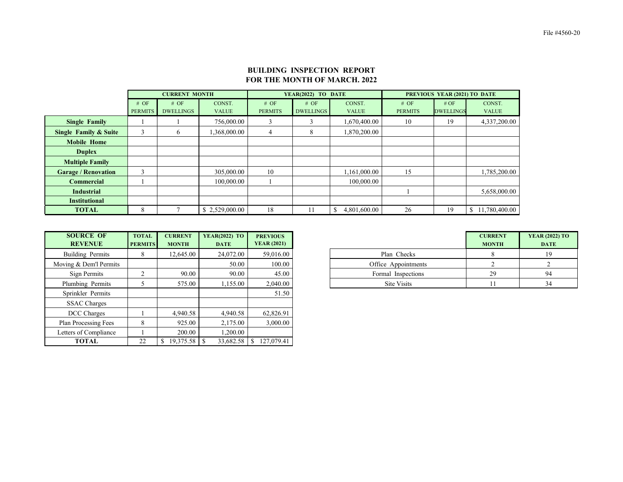|                                  |                | <b>CURRENT MONTH</b> |                |                | YEAR(2022) TO DATE |              | PREVIOUS YEAR (2021) TO DATE |                  |                                 |  |  |
|----------------------------------|----------------|----------------------|----------------|----------------|--------------------|--------------|------------------------------|------------------|---------------------------------|--|--|
|                                  | # OF           | # OF                 | CONST.         | # OF           | # OF               | CONST.       | # OF                         | # OF             | CONST.                          |  |  |
|                                  | <b>PERMITS</b> | <b>DWELLINGS</b>     | <b>VALUE</b>   | <b>PERMITS</b> | <b>DWELLINGS</b>   | <b>VALUE</b> | <b>PERMITS</b>               | <b>DWELLINGS</b> | <b>VALUE</b>                    |  |  |
| <b>Single Family</b>             | 756,000.00     |                      | 3              | 3              | 1,670,400.00       | 10           | 19                           | 4,337,200.00     |                                 |  |  |
| <b>Single Family &amp; Suite</b> | 3              | 6                    | 1,368,000.00   | 4              | 8                  | 1,870,200.00 |                              |                  |                                 |  |  |
| <b>Mobile Home</b>               |                |                      |                |                |                    |              |                              |                  |                                 |  |  |
| <b>Duplex</b>                    |                |                      |                |                |                    |              |                              |                  |                                 |  |  |
| <b>Multiple Family</b>           |                |                      |                |                |                    |              |                              |                  |                                 |  |  |
| <b>Garage / Renovation</b>       | $\bigcap$      |                      | 305,000.00     | 10             |                    | 1,161,000.00 | 15                           |                  | 1,785,200.00                    |  |  |
| <b>Commercial</b>                |                |                      | 100,000.00     |                |                    | 100,000.00   |                              |                  |                                 |  |  |
| <b>Industrial</b>                |                |                      |                |                |                    |              |                              |                  | 5,658,000.00                    |  |  |
| <b>Institutional</b>             |                |                      |                |                |                    |              |                              |                  |                                 |  |  |
| <b>TOTAL</b>                     | 8              |                      | \$2,529,000.00 | 18             | 11                 | 4,801,600.00 | 26                           | 19               | 11,780,400.00<br>$\mathbb{S}^-$ |  |  |

| <b>SOURCE OF</b><br><b>REVENUE</b> | <b>TOTAL</b><br><b>PERMITS</b> | <b>CURRENT</b><br><b>MONTH</b> | <b>YEAR(2022) TO</b><br><b>DATE</b> | <b>PREVIOUS</b><br><b>YEAR (2021)</b> |
|------------------------------------|--------------------------------|--------------------------------|-------------------------------------|---------------------------------------|
| Building Permits                   |                                | 12,645.00                      | 24,072.00                           | 59,016.00                             |
| ing & Dem'l Permits                |                                |                                | 50.00                               | 100.00                                |
| Sign Permits                       |                                | 90.00                          | 90.00                               | 45.00                                 |
| lumbing Permits                    |                                | 575.00                         | ,155.00                             | 2,040.00                              |

| <b>SOURCE OF</b><br><b>REVENUE</b> | <b>TOTAL</b><br><b>PERMITS</b> | <b>CURRENT</b><br><b>MONTH</b> | <b>YEAR(2022) TO</b><br><b>DATE</b> | <b>PREVIOUS</b><br><b>YEAR (2021)</b> |                     | <b>CURRENT</b><br><b>MONTH</b> |  |
|------------------------------------|--------------------------------|--------------------------------|-------------------------------------|---------------------------------------|---------------------|--------------------------------|--|
| Building Permits                   | 8                              | 12,645.00                      | 24,072.00                           | 59,016.00                             | Plan Checks         | 8                              |  |
| Moving & Dem'l Permits             |                                |                                | 50.00                               | 100.00                                | Office Appointments |                                |  |
| Sign Permits                       | C                              | 90.00                          | 90.00                               | 45.00                                 | Formal Inspections  | 29                             |  |
| Plumbing Permits                   |                                | 575.00                         | 1,155.00                            | 2,040.00                              | Site Visits         | 11                             |  |
| Sprinkler Permits                  |                                |                                |                                     | 51.50                                 |                     |                                |  |
| <b>SSAC Charges</b>                |                                |                                |                                     |                                       |                     |                                |  |
| DCC Charges                        |                                | 4,940.58                       | 4,940.58                            | 62,826.91                             |                     |                                |  |
| <b>Plan Processing Fees</b>        | 8                              | 925.00                         | 2,175.00                            | 3,000.00                              |                     |                                |  |
| Letters of Compliance              |                                | 200.00                         | 1,200.00                            |                                       |                     |                                |  |
| <b>TOTAL</b>                       | 22                             |                                | 33,682.58                           | 127,079.41                            |                     |                                |  |

## **BUILDING INSPECTION REPORT FOR THE MONTH OF MARCH. 2022**